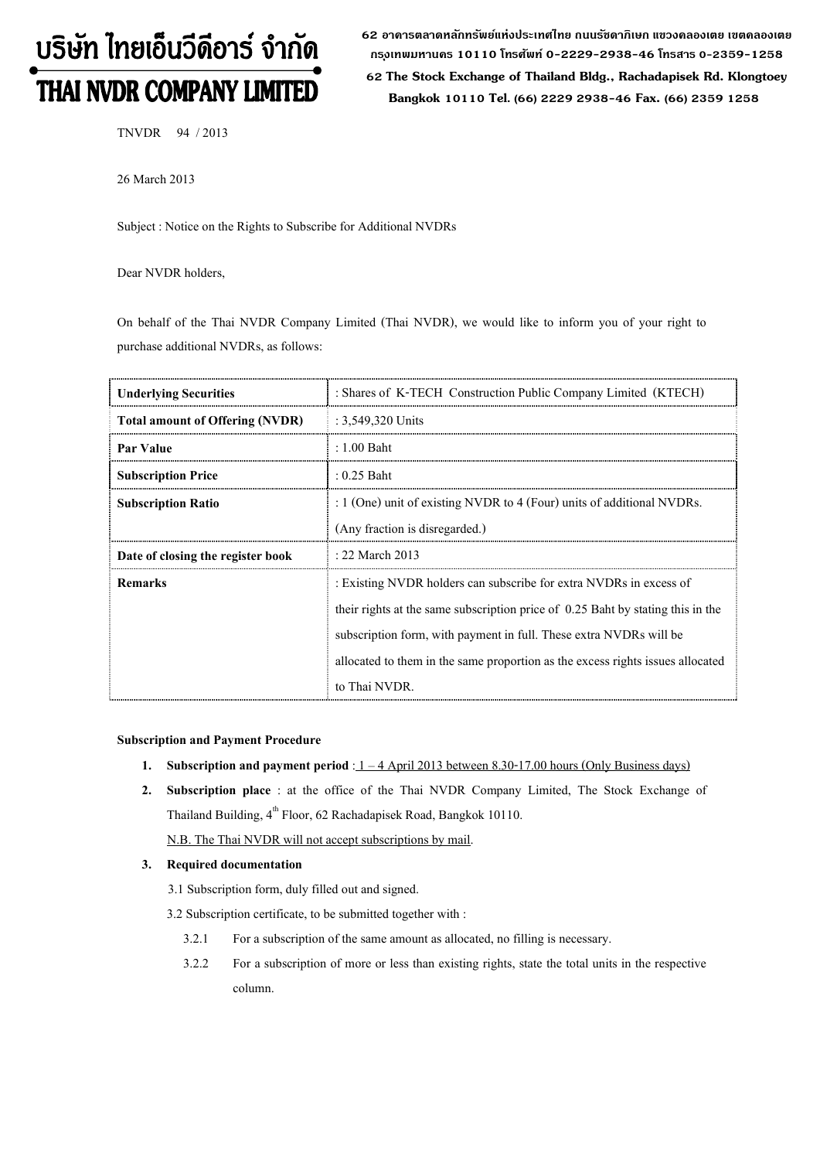# บริษัท ไทยเอ็นวีดีอาร์ จำกัด THAI NVDR COMPANY LIMITED

**62 อาคารตลาดหลักทรัพย์แห่งประเทศไทย ถนนรัชดาภิเษก แขวงคลองเตย เขตคลองเตย กร ุงเทพมหานคร 10110 โทรศัพท์ 0-2229-2938-46 โทรสาร 0-2359-1258**

 **62 The Stock Exchange of Thailand Bldg., Rachadapisek Rd. Klongtoey Bangkok 10110 Tel. (66) 2229 2938-46 Fax. (66) 2359 1258**

TNVDR 94 / 2013

26 March 2013

Subject : Notice on the Rights to Subscribe for Additional NVDRs

Dear NVDR holders,

On behalf of the Thai NVDR Company Limited (Thai NVDR), we would like to inform you of your right to purchase additional NVDRs, as follows:

| <b>Underlying Securities</b>           | : Shares of K-TECH Construction Public Company Limited (KTECH)                  |  |  |  |
|----------------------------------------|---------------------------------------------------------------------------------|--|--|--|
| <b>Total amount of Offering (NVDR)</b> | : $3,549,320$ Units                                                             |  |  |  |
| Par Value                              | $: 1.00$ Baht                                                                   |  |  |  |
| <b>Subscription Price</b>              | $: 0.25$ Baht                                                                   |  |  |  |
| <b>Subscription Ratio</b>              | : $1$ (One) unit of existing NVDR to $4$ (Four) units of additional NVDRs.      |  |  |  |
|                                        | (Any fraction is disregarded.)                                                  |  |  |  |
| Date of closing the register book      | : 22 March 2013                                                                 |  |  |  |
| <b>Remarks</b>                         | : Existing NVDR holders can subscribe for extra NVDRs in excess of              |  |  |  |
|                                        | their rights at the same subscription price of 0.25 Baht by stating this in the |  |  |  |
|                                        | subscription form, with payment in full. These extra NVDRs will be              |  |  |  |
|                                        | allocated to them in the same proportion as the excess rights issues allocated  |  |  |  |
|                                        | to Thai NVDR.                                                                   |  |  |  |

#### **Subscription and Payment Procedure**

- **1.** Subscription and payment period :  $1 4$  April 2013 between 8.30-17.00 hours (Only Business days)
- **2. Subscription place** : at the office of the Thai NVDR Company Limited, The Stock Exchange of Thailand Building, 4<sup>th</sup> Floor, 62 Rachadapisek Road, Bangkok 10110. N.B. The Thai NVDR will not accept subscriptions by mail.

- **3. Required documentation** 
	- 3.1 Subscription form, duly filled out and signed.
	- 3.2 Subscription certificate, to be submitted together with :
		- 3.2.1 For a subscription of the same amount as allocated, no filling is necessary.
		- 3.2.2 For a subscription of more or less than existing rights, state the total units in the respective column.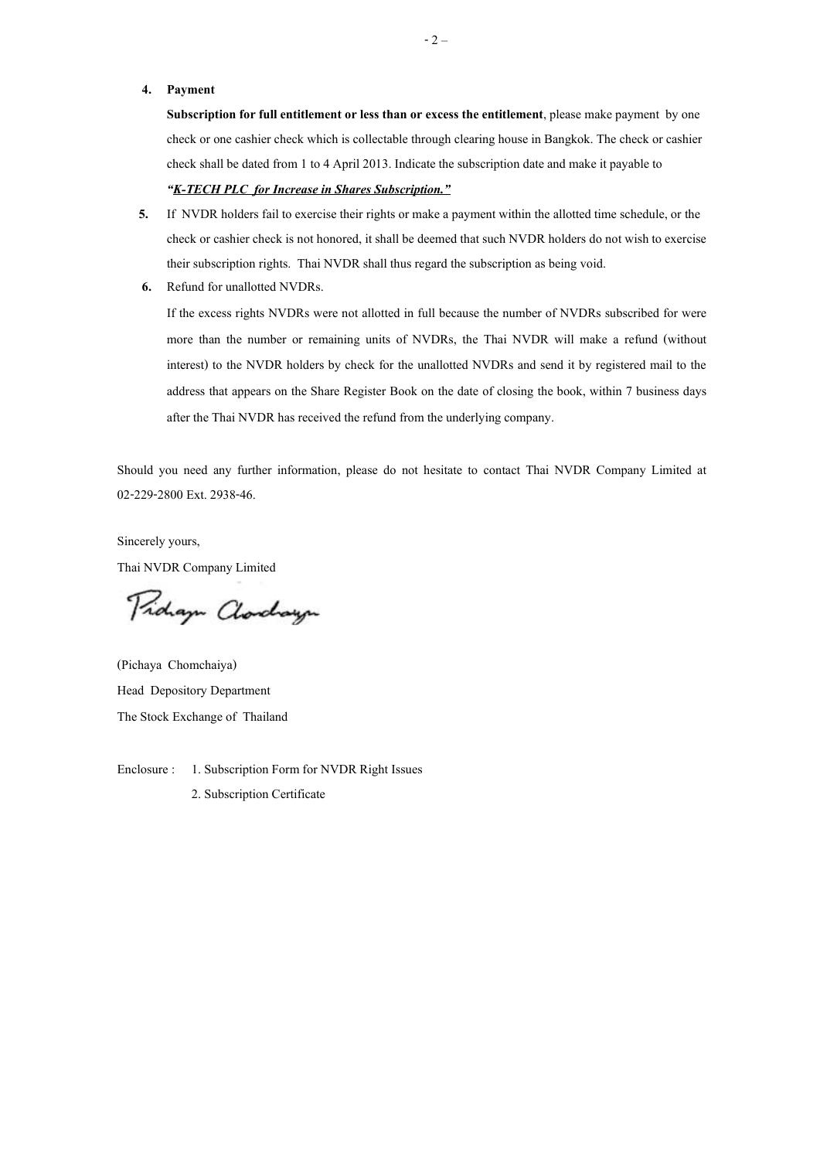#### **4. Payment**

**Subscription for full entitlement or less than or excess the entitlement**, please make payment by one check or one cashier check which is collectable through clearing house in Bangkok. The check or cashier check shall be dated from 1 to 4 April 2013. Indicate the subscription date and make it payable to

### *"K-TECH PLC for Increase in Shares Subscription."*

- **5.** If NVDR holders fail to exercise their rights or make a payment within the allotted time schedule, or the check or cashier check is not honored, it shall be deemed that such NVDR holders do not wish to exercise their subscription rights. Thai NVDR shall thus regard the subscription as being void.
- **6.** Refund for unallotted NVDRs.

If the excess rights NVDRs were not allotted in full because the number of NVDRs subscribed for were more than the number or remaining units of NVDRs, the Thai NVDR will make a refund (without interest) to the NVDR holders by check for the unallotted NVDRs and send it by registered mail to the address that appears on the Share Register Book on the date of closing the book, within 7 business days after the Thai NVDR has received the refund from the underlying company.

Should you need any further information, please do not hesitate to contact Thai NVDR Company Limited at 02-229-2800 Ext. 2938-46.

Sincerely yours, Thai NVDR Company Limited

Proham Clorchayn

(Pichaya Chomchaiya) Head Depository Department The Stock Exchange of Thailand

Enclosure : 1. Subscription Form for NVDR Right Issues 2. Subscription Certificate